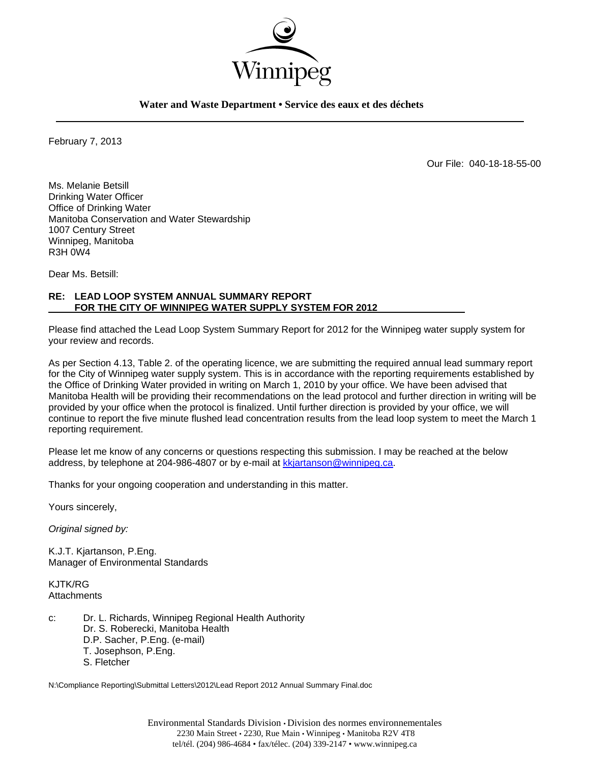

**Water and Waste Department • Service des eaux et des déchets** 

February 7, 2013

Our File: 040-18-18-55-00

Ms. Melanie Betsill Drinking Water Officer Office of Drinking Water Manitoba Conservation and Water Stewardship 1007 Century Street Winnipeg, Manitoba R3H 0W4

Dear Ms. Betsill:

## **RE: LEAD LOOP SYSTEM ANNUAL SUMMARY REPORT FOR THE CITY OF WINNIPEG WATER SUPPLY SYSTEM FOR 2012**

Please find attached the Lead Loop System Summary Report for 2012 for the Winnipeg water supply system for your review and records.

As per Section 4.13, Table 2. of the operating licence, we are submitting the required annual lead summary report for the City of Winnipeg water supply system. This is in accordance with the reporting requirements established by the Office of Drinking Water provided in writing on March 1, 2010 by your office. We have been advised that Manitoba Health will be providing their recommendations on the lead protocol and further direction in writing will be provided by your office when the protocol is finalized. Until further direction is provided by your office, we will continue to report the five minute flushed lead concentration results from the lead loop system to meet the March 1 reporting requirement.

Please let me know of any concerns or questions respecting this submission. I may be reached at the below address, by telephone at 204-986-4807 or by e-mail at kkjartanson@winnipeg.ca.

Thanks for your ongoing cooperation and understanding in this matter.

Yours sincerely,

*Original signed by:* 

K.J.T. Kjartanson, P.Eng. Manager of Environmental Standards

KJTK/RG **Attachments** 

c: Dr. L. Richards, Winnipeg Regional Health Authority Dr. S. Roberecki, Manitoba Health D.P. Sacher, P.Eng. (e-mail) T. Josephson, P.Eng. S. Fletcher

N:\Compliance Reporting\Submittal Letters\2012\Lead Report 2012 Annual Summary Final.doc